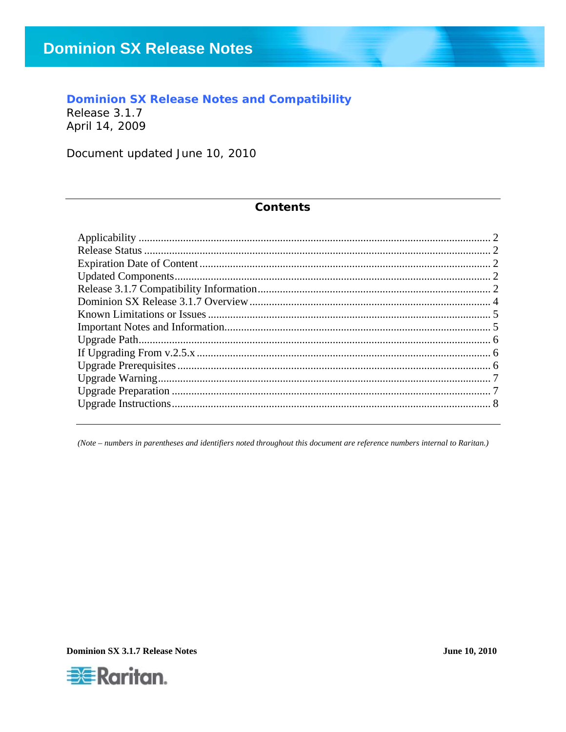### **Dominion SX Release Notes and Compatibility**

Release 3.1.7 April 14, 2009

Document updated June 10, 2010

#### **Contents**

(Note – numbers in parentheses and identifiers noted throughout this document are reference numbers internal to Raritan.)

**Dominion SX 3.1.7 Release Notes** 

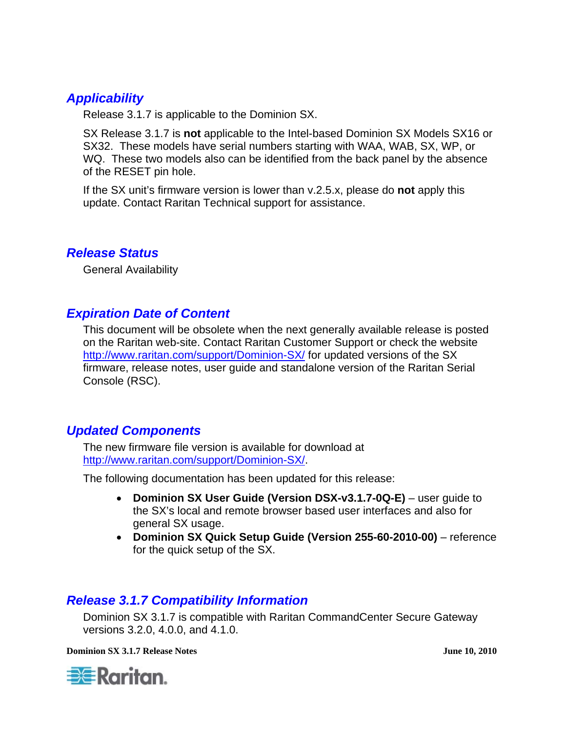## <span id="page-1-0"></span>*Applicability*

Release 3.1.7 is applicable to the Dominion SX.

SX Release 3.1.7 is **not** applicable to the Intel-based Dominion SX Models SX16 or SX32. These models have serial numbers starting with WAA, WAB, SX, WP, or WQ. These two models also can be identified from the back panel by the absence of the RESET pin hole.

If the SX unit's firmware version is lower than v.2.5.x, please do **not** apply this update. Contact Raritan Technical support for assistance.

#### *Release Status*

General Availability

### *Expiration Date of Content*

This document will be obsolete when the next generally available release is posted on the Raritan web-site. Contact Raritan Customer Support or check the website <http://www.raritan.com/support/Dominion-SX/> for updated versions of the SX firmware, release notes, user guide and standalone version of the Raritan Serial Console (RSC).

#### *Updated Components*

The new firmware file version is available for download at <http://www.raritan.com/support/Dominion-SX/>.

The following documentation has been updated for this release:

- **Dominion SX User Guide (Version DSX-v3.1.7-0Q-E)** user guide to the SX's local and remote browser based user interfaces and also for general SX usage.
- **Dominion SX Quick Setup Guide (Version 255-60-2010-00)**  reference for the quick setup of the SX.

#### *Release 3.1.7 Compatibility Information*

Dominion SX 3.1.7 is compatible with Raritan CommandCenter Secure Gateway versions 3.2.0, 4.0.0, and 4.1.0.

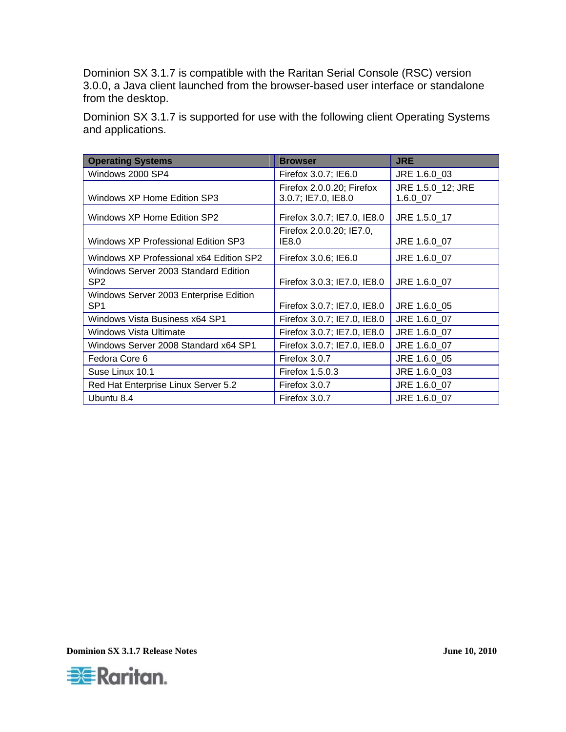Dominion SX 3.1.7 is compatible with the Raritan Serial Console (RSC) version 3.0.0, a Java client launched from the browser-based user interface or standalone from the desktop.

Dominion SX 3.1.7 is supported for use with the following client Operating Systems and applications.

| <b>Operating Systems</b>                                  | <b>Browser</b>                                   | <b>JRE</b>                    |
|-----------------------------------------------------------|--------------------------------------------------|-------------------------------|
| Windows 2000 SP4                                          | Firefox 3.0.7; IE6.0                             | JRE 1.6.0 03                  |
| Windows XP Home Edition SP3                               | Firefox 2.0.0.20; Firefox<br>3.0.7; IE7.0, IE8.0 | JRE 1.5.0_12; JRE<br>1.6.0 07 |
| Windows XP Home Edition SP2                               | Firefox 3.0.7; IE7.0, IE8.0                      | JRE 1.5.0 17                  |
| Windows XP Professional Edition SP3                       | Firefox 2.0.0.20; IE7.0,<br>IE8.0                | JRE 1.6.0 07                  |
| Windows XP Professional x64 Edition SP2                   | Firefox 3.0.6; IE6.0                             | JRE 1.6.0 07                  |
| Windows Server 2003 Standard Edition<br>SP <sub>2</sub>   | Firefox 3.0.3; IE7.0, IE8.0                      | JRE 1.6.0 07                  |
| Windows Server 2003 Enterprise Edition<br>SP <sub>1</sub> | Firefox 3.0.7; IE7.0, IE8.0                      | JRE 1.6.0 05                  |
| Windows Vista Business x64 SP1                            | Firefox 3.0.7; IE7.0, IE8.0                      | JRE 1.6.0 07                  |
| <b>Windows Vista Ultimate</b>                             | Firefox 3.0.7; IE7.0, IE8.0                      | JRE 1.6.0 07                  |
| Windows Server 2008 Standard x64 SP1                      | Firefox 3.0.7; IE7.0, IE8.0                      | JRE 1.6.0 07                  |
| Fedora Core 6                                             | Firefox 3.0.7                                    | JRE 1.6.0 05                  |
| Suse Linux 10.1                                           | Firefox 1.5.0.3                                  | JRE 1.6.0 03                  |
| Red Hat Enterprise Linux Server 5.2                       | Firefox 3.0.7                                    | JRE 1.6.0_07                  |
| Ubuntu 8.4                                                | Firefox 3.0.7                                    | JRE 1.6.0 07                  |

**Dominion SX 3.1.7 Release Notes June 10, 2010** 

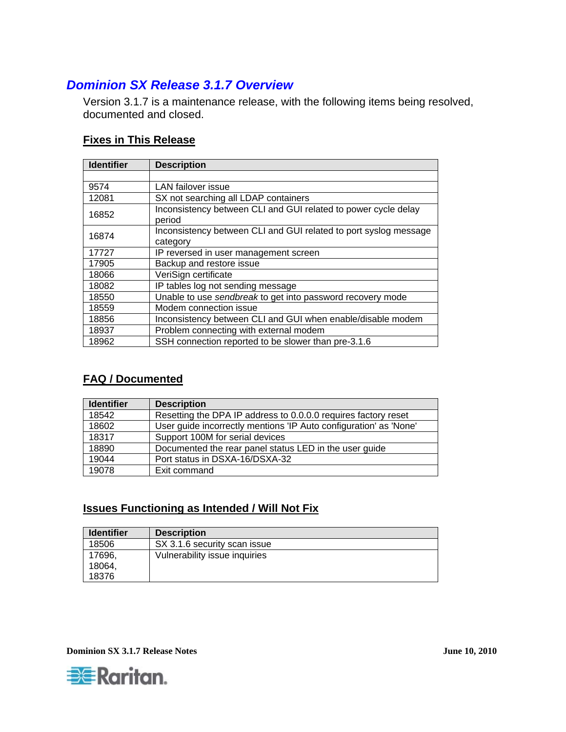## <span id="page-3-0"></span>*Dominion SX Release 3.1.7 Overview*

Version 3.1.7 is a maintenance release, with the following items being resolved, documented and closed.

#### **Fixes in This Release**

| <b>Identifier</b> | <b>Description</b>                                                           |
|-------------------|------------------------------------------------------------------------------|
|                   |                                                                              |
| 9574              | <b>LAN</b> failover issue                                                    |
| 12081             | SX not searching all LDAP containers                                         |
| 16852             | Inconsistency between CLI and GUI related to power cycle delay<br>period     |
| 16874             | Inconsistency between CLI and GUI related to port syslog message<br>category |
| 17727             | IP reversed in user management screen                                        |
| 17905             | Backup and restore issue                                                     |
| 18066             | VeriSign certificate                                                         |
| 18082             | IP tables log not sending message                                            |
| 18550             | Unable to use sendbreak to get into password recovery mode                   |
| 18559             | Modem connection issue                                                       |
| 18856             | Inconsistency between CLI and GUI when enable/disable modem                  |
| 18937             | Problem connecting with external modem                                       |
| 18962             | SSH connection reported to be slower than pre-3.1.6                          |

#### **FAQ / Documented**

| <b>Identifier</b> | <b>Description</b>                                                |
|-------------------|-------------------------------------------------------------------|
| 18542             | Resetting the DPA IP address to 0.0.0.0 requires factory reset    |
| 18602             | User guide incorrectly mentions 'IP Auto configuration' as 'None' |
| 18317             | Support 100M for serial devices                                   |
| 18890             | Documented the rear panel status LED in the user guide            |
| 19044             | Port status in DSXA-16/DSXA-32                                    |
| 19078             | Exit command                                                      |

#### **Issues Functioning as Intended / Will Not Fix**

| <b>Identifier</b> | <b>Description</b>            |
|-------------------|-------------------------------|
| 18506             | SX 3.1.6 security scan issue  |
| 17696,            | Vulnerability issue inquiries |
| 18064,            |                               |
| 18376             |                               |

**Dominion SX 3.1.7 Release Notes June 10, 2010** 

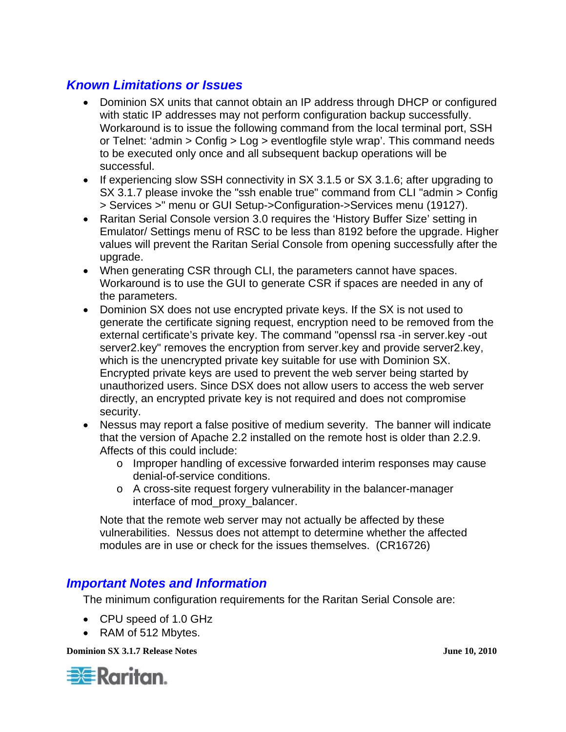## <span id="page-4-0"></span>*Known Limitations or Issues*

- Dominion SX units that cannot obtain an IP address through DHCP or configured with static IP addresses may not perform configuration backup successfully. Workaround is to issue the following command from the local terminal port, SSH or Telnet: 'admin > Config > Log > eventlogfile style wrap'. This command needs to be executed only once and all subsequent backup operations will be successful.
- If experiencing slow SSH connectivity in SX 3.1.5 or SX 3.1.6; after upgrading to SX 3.1.7 please invoke the "ssh enable true" command from CLI "admin > Config > Services >" menu or GUI Setup->Configuration->Services menu (19127).
- Raritan Serial Console version 3.0 requires the 'History Buffer Size' setting in Emulator/ Settings menu of RSC to be less than 8192 before the upgrade. Higher values will prevent the Raritan Serial Console from opening successfully after the upgrade.
- When generating CSR through CLI, the parameters cannot have spaces. Workaround is to use the GUI to generate CSR if spaces are needed in any of the parameters.
- Dominion SX does not use encrypted private keys. If the SX is not used to generate the certificate signing request, encryption need to be removed from the external certificate's private key. The command "openssl rsa -in server.key -out server2.key" removes the encryption from server.key and provide server2.key, which is the unencrypted private key suitable for use with Dominion SX. Encrypted private keys are used to prevent the web server being started by unauthorized users. Since DSX does not allow users to access the web server directly, an encrypted private key is not required and does not compromise security.
- Nessus may report a false positive of medium severity. The banner will indicate that the version of Apache 2.2 installed on the remote host is older than 2.2.9. Affects of this could include:
	- o Improper handling of excessive forwarded interim responses may cause denial-of-service conditions.
	- o A cross-site request forgery vulnerability in the balancer-manager interface of mod\_proxy\_balancer.

Note that the remote web server may not actually be affected by these vulnerabilities. Nessus does not attempt to determine whether the affected modules are in use or check for the issues themselves. (CR16726)

### *Important Notes and Information*

The minimum configuration requirements for the Raritan Serial Console are:

- CPU speed of 1.0 GHz
- RAM of 512 Mbytes.

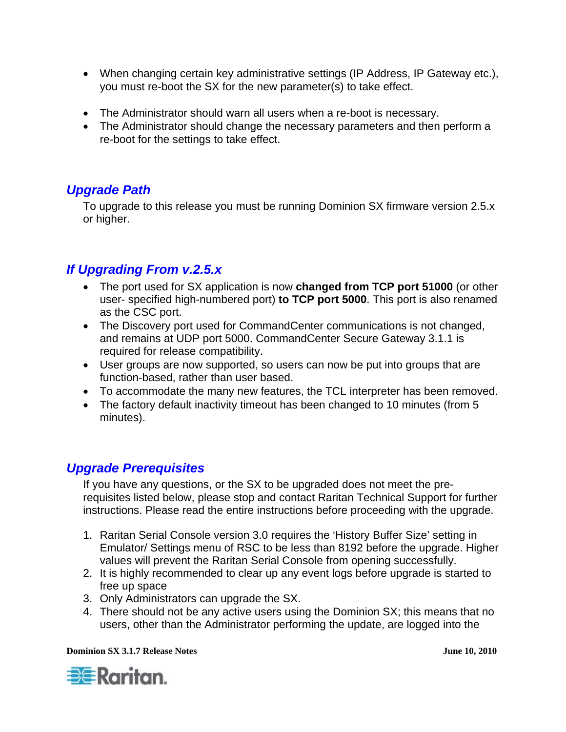- <span id="page-5-0"></span>• When changing certain key administrative settings (IP Address, IP Gateway etc.), you must re-boot the SX for the new parameter(s) to take effect.
- The Administrator should warn all users when a re-boot is necessary.
- The Administrator should change the necessary parameters and then perform a re-boot for the settings to take effect.

## *Upgrade Path*

To upgrade to this release you must be running Dominion SX firmware version 2.5.x or higher.

# *If Upgrading From v.2.5.x*

- The port used for SX application is now **changed from TCP port 51000** (or other user- specified high-numbered port) **to TCP port 5000**. This port is also renamed as the CSC port.
- The Discovery port used for CommandCenter communications is not changed, and remains at UDP port 5000. CommandCenter Secure Gateway 3.1.1 is required for release compatibility.
- User groups are now supported, so users can now be put into groups that are function-based, rather than user based.
- To accommodate the many new features, the TCL interpreter has been removed.
- The factory default inactivity timeout has been changed to 10 minutes (from 5 minutes).

## *Upgrade Prerequisites*

If you have any questions, or the SX to be upgraded does not meet the prerequisites listed below, please stop and contact Raritan Technical Support for further instructions. Please read the entire instructions before proceeding with the upgrade.

- 1. Raritan Serial Console version 3.0 requires the 'History Buffer Size' setting in Emulator/ Settings menu of RSC to be less than 8192 before the upgrade. Higher values will prevent the Raritan Serial Console from opening successfully.
- 2. It is highly recommended to clear up any event logs before upgrade is started to free up space
- 3. Only Administrators can upgrade the SX.
- 4. There should not be any active users using the Dominion SX; this means that no users, other than the Administrator performing the update, are logged into the

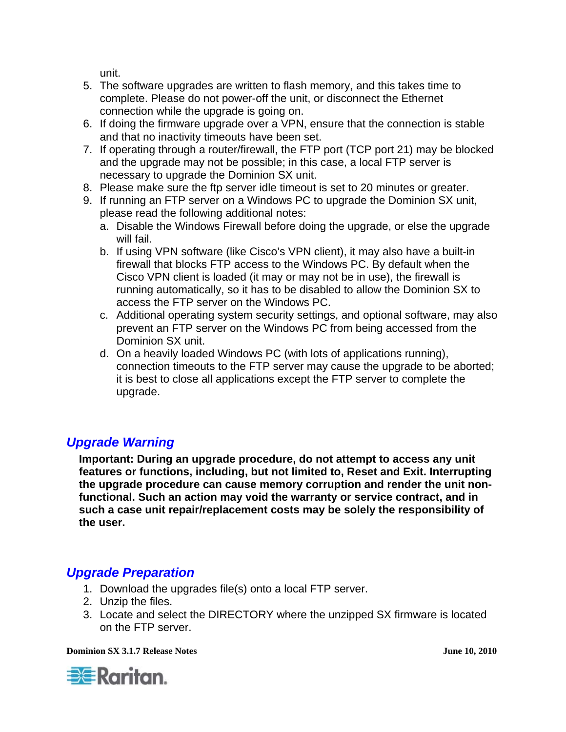unit.

- <span id="page-6-0"></span>5. The software upgrades are written to flash memory, and this takes time to complete. Please do not power-off the unit, or disconnect the Ethernet connection while the upgrade is going on.
- 6. If doing the firmware upgrade over a VPN, ensure that the connection is stable and that no inactivity timeouts have been set.
- 7. If operating through a router/firewall, the FTP port (TCP port 21) may be blocked and the upgrade may not be possible; in this case, a local FTP server is necessary to upgrade the Dominion SX unit.
- 8. Please make sure the ftp server idle timeout is set to 20 minutes or greater.
- 9. If running an FTP server on a Windows PC to upgrade the Dominion SX unit, please read the following additional notes:
	- a. Disable the Windows Firewall before doing the upgrade, or else the upgrade will fail.
	- b. If using VPN software (like Cisco's VPN client), it may also have a built-in firewall that blocks FTP access to the Windows PC. By default when the Cisco VPN client is loaded (it may or may not be in use), the firewall is running automatically, so it has to be disabled to allow the Dominion SX to access the FTP server on the Windows PC.
	- c. Additional operating system security settings, and optional software, may also prevent an FTP server on the Windows PC from being accessed from the Dominion SX unit.
	- d. On a heavily loaded Windows PC (with lots of applications running), connection timeouts to the FTP server may cause the upgrade to be aborted; it is best to close all applications except the FTP server to complete the upgrade.

## *Upgrade Warning*

**Important: During an upgrade procedure, do not attempt to access any unit features or functions, including, but not limited to, Reset and Exit. Interrupting the upgrade procedure can cause memory corruption and render the unit nonfunctional. Such an action may void the warranty or service contract, and in such a case unit repair/replacement costs may be solely the responsibility of the user.** 

## *Upgrade Preparation*

- 1. Download the upgrades file(s) onto a local FTP server.
- 2. Unzip the files.
- 3. Locate and select the DIRECTORY where the unzipped SX firmware is located on the FTP server.

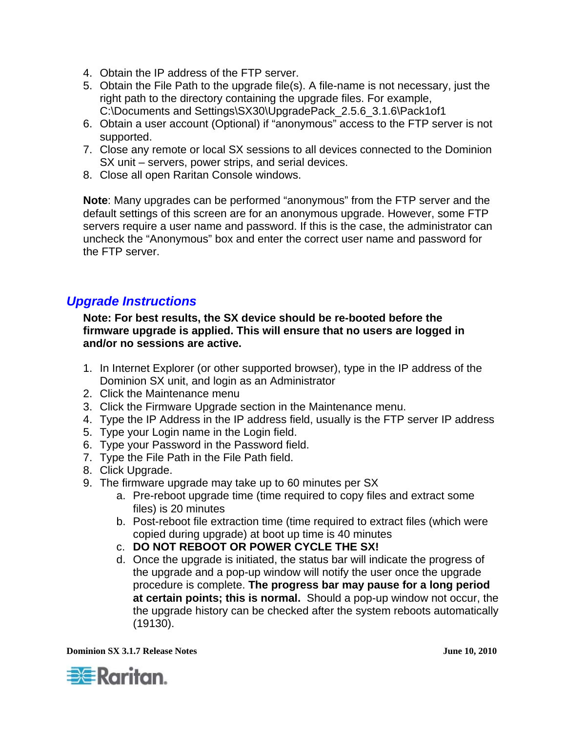- <span id="page-7-0"></span>4. Obtain the IP address of the FTP server.
- 5. Obtain the File Path to the upgrade file(s). A file-name is not necessary, just the right path to the directory containing the upgrade files. For example, C:\Documents and Settings\SX30\UpgradePack\_2.5.6\_3.1.6\Pack1of1
- 6. Obtain a user account (Optional) if "anonymous" access to the FTP server is not supported.
- 7. Close any remote or local SX sessions to all devices connected to the Dominion SX unit – servers, power strips, and serial devices.
- 8. Close all open Raritan Console windows.

**Note**: Many upgrades can be performed "anonymous" from the FTP server and the default settings of this screen are for an anonymous upgrade. However, some FTP servers require a user name and password. If this is the case, the administrator can uncheck the "Anonymous" box and enter the correct user name and password for the FTP server.

### *Upgrade Instructions*

#### **Note: For best results, the SX device should be re-booted before the firmware upgrade is applied. This will ensure that no users are logged in and/or no sessions are active.**

- 1. In Internet Explorer (or other supported browser), type in the IP address of the Dominion SX unit, and login as an Administrator
- 2. Click the Maintenance menu
- 3. Click the Firmware Upgrade section in the Maintenance menu.
- 4. Type the IP Address in the IP address field, usually is the FTP server IP address
- 5. Type your Login name in the Login field.
- 6. Type your Password in the Password field.
- 7. Type the File Path in the File Path field.
- 8. Click Upgrade.
- 9. The firmware upgrade may take up to 60 minutes per SX
	- a. Pre-reboot upgrade time (time required to copy files and extract some files) is 20 minutes
	- b. Post-reboot file extraction time (time required to extract files (which were copied during upgrade) at boot up time is 40 minutes
	- c. **DO NOT REBOOT OR POWER CYCLE THE SX!**
	- d. Once the upgrade is initiated, the status bar will indicate the progress of the upgrade and a pop-up window will notify the user once the upgrade procedure is complete. **The progress bar may pause for a long period at certain points; this is normal.** Should a pop-up window not occur, the the upgrade history can be checked after the system reboots automatically (19130).